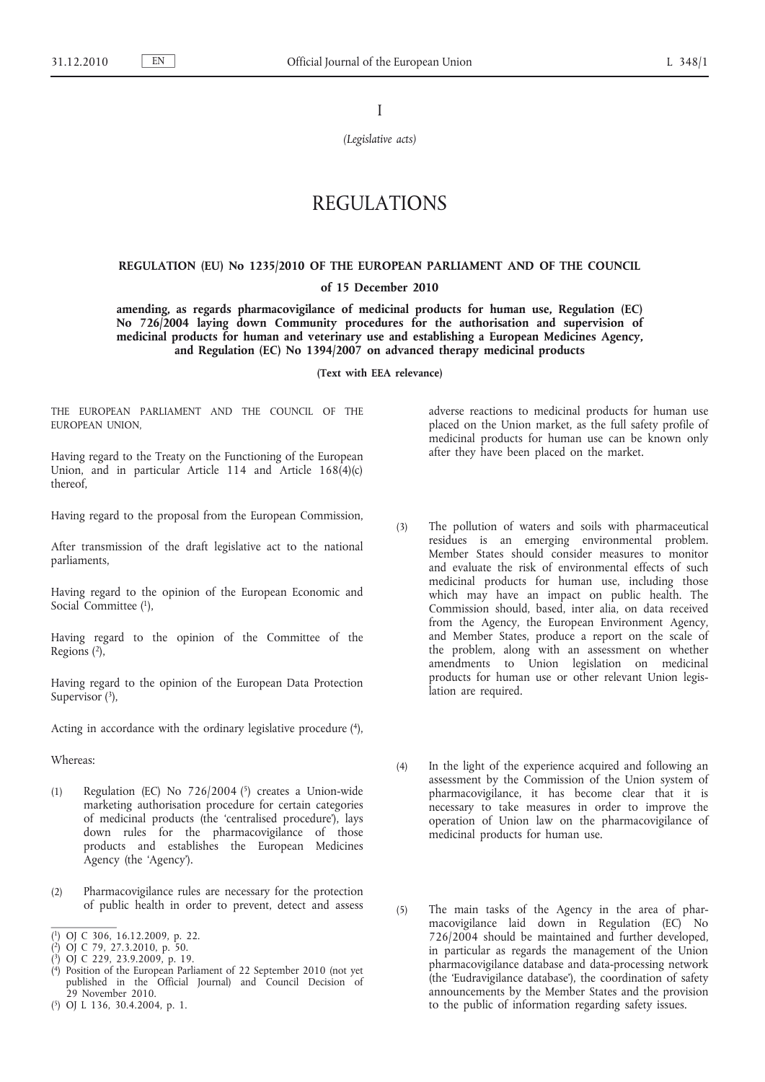I

*(Legislative acts)*

# REGULATIONS

## **REGULATION (EU) No 1235/2010 OF THE EUROPEAN PARLIAMENT AND OF THE COUNCIL**

#### **of 15 December 2010**

**amending, as regards pharmacovigilance of medicinal products for human use, Regulation (EC) No 726/2004 laying down Community procedures for the authorisation and supervision of medicinal products for human and veterinary use and establishing a European Medicines Agency, and Regulation (EC) No 1394/2007 on advanced therapy medicinal products**

**(Text with EEA relevance)**

THE EUROPEAN PARLIAMENT AND THE COUNCIL OF THE EUROPEAN UNION,

Having regard to the Treaty on the Functioning of the European Union, and in particular Article 114 and Article 168(4)(c) thereof,

Having regard to the proposal from the European Commission,

After transmission of the draft legislative act to the national parliaments,

Having regard to the opinion of the European Economic and Social Committee (1),

Having regard to the opinion of the Committee of the Regions (2),

Having regard to the opinion of the European Data Protection Supervisor  $(3)$ ,

Acting in accordance with the ordinary legislative procedure (4),

Whereas:

- (1) Regulation (EC) No  $726/2004$  (5) creates a Union-wide marketing authorisation procedure for certain categories of medicinal products (the 'centralised procedure'), lays down rules for the pharmacovigilance of those products and establishes the European Medicines Agency (the 'Agency').
- (2) Pharmacovigilance rules are necessary for the protection of public health in order to prevent, detect and assess

- ( 4) Position of the European Parliament of 22 September 2010 (not yet published in the Official Journal) and Council Decision of 29 November 2010.
- ( 5) OJ L 136, 30.4.2004, p. 1.

adverse reactions to medicinal products for human use placed on the Union market, as the full safety profile of medicinal products for human use can be known only after they have been placed on the market.

- (3) The pollution of waters and soils with pharmaceutical residues is an emerging environmental problem. Member States should consider measures to monitor and evaluate the risk of environmental effects of such medicinal products for human use, including those which may have an impact on public health. The Commission should, based, inter alia, on data received from the Agency, the European Environment Agency, and Member States, produce a report on the scale of the problem, along with an assessment on whether amendments to Union legislation on medicinal products for human use or other relevant Union legislation are required.
- (4) In the light of the experience acquired and following an assessment by the Commission of the Union system of pharmacovigilance, it has become clear that it is necessary to take measures in order to improve the operation of Union law on the pharmacovigilance of medicinal products for human use.
- (5) The main tasks of the Agency in the area of pharmacovigilance laid down in Regulation (EC) No 726/2004 should be maintained and further developed, in particular as regards the management of the Union pharmacovigilance database and data-processing network (the 'Eudravigilance database'), the coordination of safety announcements by the Member States and the provision to the public of information regarding safety issues.

<sup>(</sup> 1) OJ C 306, 16.12.2009, p. 22.

<sup>(</sup> 2) OJ C 79, 27.3.2010, p. 50.

<sup>(</sup> 3) OJ C 229, 23.9.2009, p. 19.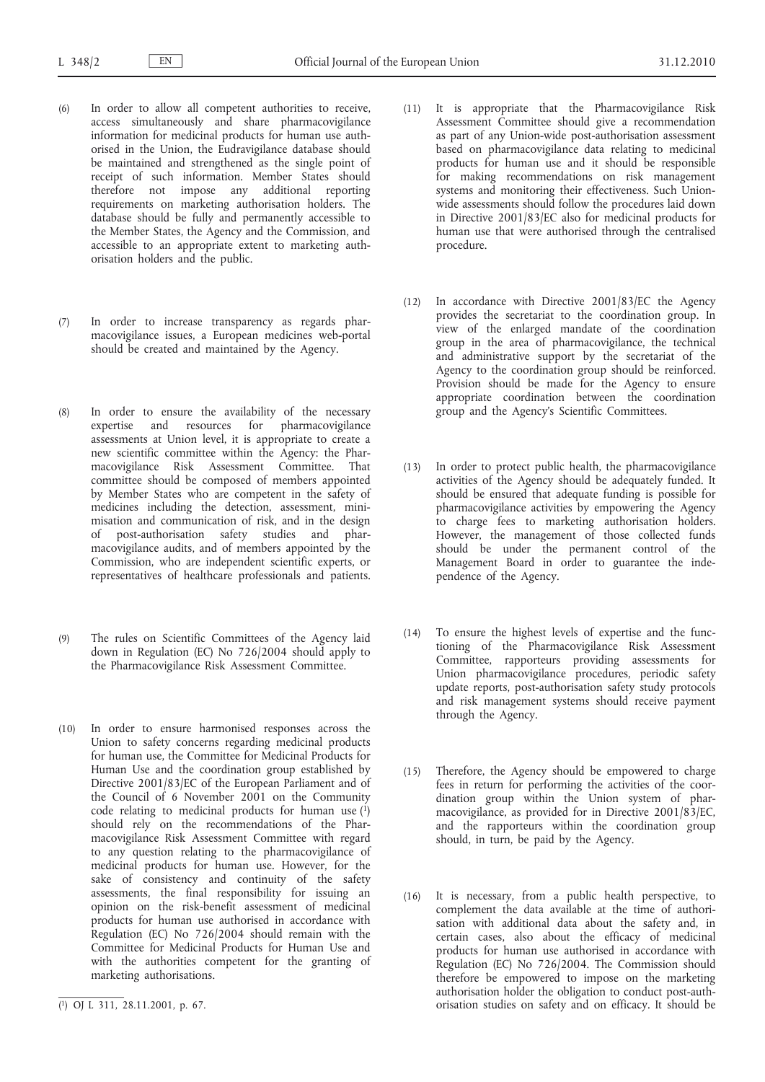- (6) In order to allow all competent authorities to receive, access simultaneously and share pharmacovigilance information for medicinal products for human use authorised in the Union, the Eudravigilance database should be maintained and strengthened as the single point of receipt of such information. Member States should therefore not impose any additional reporting requirements on marketing authorisation holders. The database should be fully and permanently accessible to the Member States, the Agency and the Commission, and accessible to an appropriate extent to marketing authorisation holders and the public.
- (7) In order to increase transparency as regards pharmacovigilance issues, a European medicines web-portal should be created and maintained by the Agency.
- (8) In order to ensure the availability of the necessary expertise and resources for pharmacovigilance assessments at Union level, it is appropriate to create a new scientific committee within the Agency: the Pharmacovigilance Risk Assessment Committee. That committee should be composed of members appointed by Member States who are competent in the safety of medicines including the detection, assessment, minimisation and communication of risk, and in the design of post-authorisation safety studies and pharmacovigilance audits, and of members appointed by the Commission, who are independent scientific experts, or representatives of healthcare professionals and patients.
- (9) The rules on Scientific Committees of the Agency laid down in Regulation (EC) No 726/2004 should apply to the Pharmacovigilance Risk Assessment Committee.
- (10) In order to ensure harmonised responses across the Union to safety concerns regarding medicinal products for human use, the Committee for Medicinal Products for Human Use and the coordination group established by Directive 2001/83/EC of the European Parliament and of the Council of 6 November 2001 on the Community code relating to medicinal products for human use  $(1)$ should rely on the recommendations of the Pharmacovigilance Risk Assessment Committee with regard to any question relating to the pharmacovigilance of medicinal products for human use. However, for the sake of consistency and continuity of the safety assessments, the final responsibility for issuing an opinion on the risk-benefit assessment of medicinal products for human use authorised in accordance with Regulation (EC) No 726/2004 should remain with the Committee for Medicinal Products for Human Use and with the authorities competent for the granting of marketing authorisations.
- (11) It is appropriate that the Pharmacovigilance Risk Assessment Committee should give a recommendation as part of any Union-wide post-authorisation assessment based on pharmacovigilance data relating to medicinal products for human use and it should be responsible for making recommendations on risk management systems and monitoring their effectiveness. Such Unionwide assessments should follow the procedures laid down in Directive 2001/83/EC also for medicinal products for human use that were authorised through the centralised procedure.
- (12) In accordance with Directive 2001/83/EC the Agency provides the secretariat to the coordination group. In view of the enlarged mandate of the coordination group in the area of pharmacovigilance, the technical and administrative support by the secretariat of the Agency to the coordination group should be reinforced. Provision should be made for the Agency to ensure appropriate coordination between the coordination group and the Agency's Scientific Committees.
- (13) In order to protect public health, the pharmacovigilance activities of the Agency should be adequately funded. It should be ensured that adequate funding is possible for pharmacovigilance activities by empowering the Agency to charge fees to marketing authorisation holders. However, the management of those collected funds should be under the permanent control of the Management Board in order to guarantee the independence of the Agency.
- (14) To ensure the highest levels of expertise and the functioning of the Pharmacovigilance Risk Assessment Committee, rapporteurs providing assessments for Union pharmacovigilance procedures, periodic safety update reports, post-authorisation safety study protocols and risk management systems should receive payment through the Agency.
- (15) Therefore, the Agency should be empowered to charge fees in return for performing the activities of the coordination group within the Union system of pharmacovigilance, as provided for in Directive 2001/83/EC, and the rapporteurs within the coordination group should, in turn, be paid by the Agency.
- (16) It is necessary, from a public health perspective, to complement the data available at the time of authorisation with additional data about the safety and, in certain cases, also about the efficacy of medicinal products for human use authorised in accordance with Regulation (EC) No 726/2004. The Commission should therefore be empowered to impose on the marketing authorisation holder the obligation to conduct post-authorisation studies on safety and on efficacy. It should be

<sup>(</sup> 1) OJ L 311, 28.11.2001, p. 67.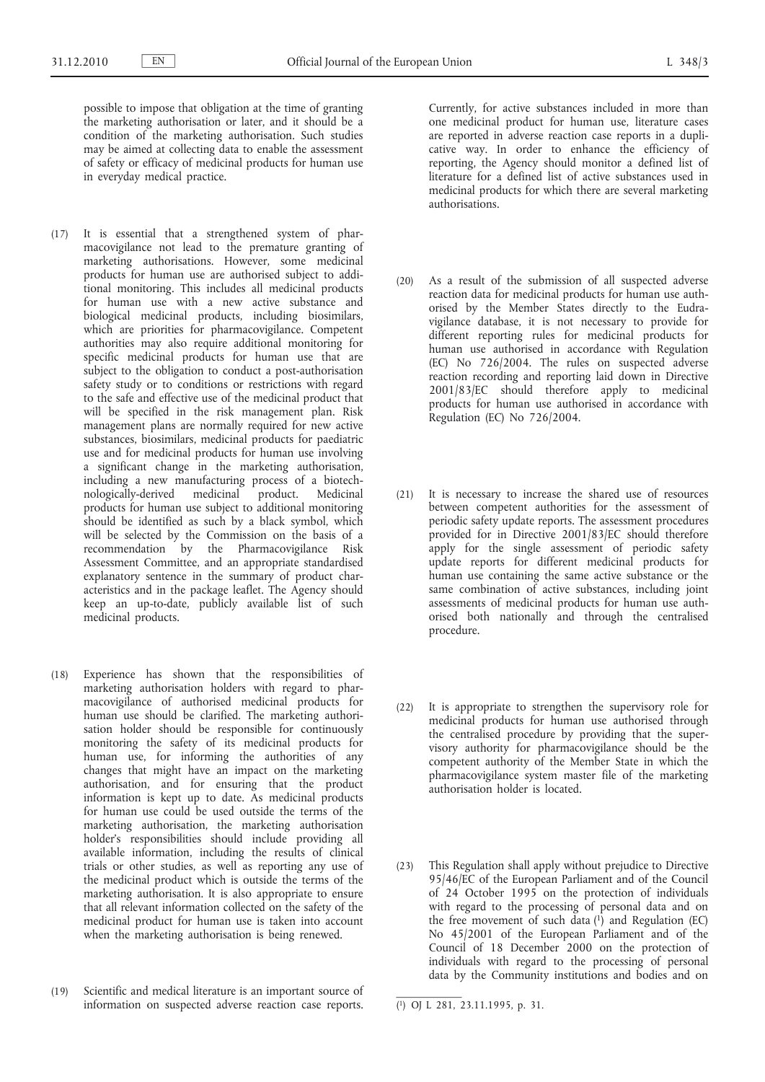possible to impose that obligation at the time of granting the marketing authorisation or later, and it should be a condition of the marketing authorisation. Such studies may be aimed at collecting data to enable the assessment of safety or efficacy of medicinal products for human use in everyday medical practice.

- (17) It is essential that a strengthened system of pharmacovigilance not lead to the premature granting of marketing authorisations. However, some medicinal products for human use are authorised subject to additional monitoring. This includes all medicinal products for human use with a new active substance and biological medicinal products, including biosimilars, which are priorities for pharmacovigilance. Competent authorities may also require additional monitoring for specific medicinal products for human use that are subject to the obligation to conduct a post-authorisation safety study or to conditions or restrictions with regard to the safe and effective use of the medicinal product that will be specified in the risk management plan. Risk management plans are normally required for new active substances, biosimilars, medicinal products for paediatric use and for medicinal products for human use involving a significant change in the marketing authorisation, including a new manufacturing process of a biotechnologically-derived medicinal product. Medicinal products for human use subject to additional monitoring should be identified as such by a black symbol, which will be selected by the Commission on the basis of a recommendation by the Pharmacovigilance Risk Assessment Committee, and an appropriate standardised explanatory sentence in the summary of product characteristics and in the package leaflet. The Agency should keep an up-to-date, publicly available list of such medicinal products.
- (18) Experience has shown that the responsibilities of marketing authorisation holders with regard to pharmacovigilance of authorised medicinal products for human use should be clarified. The marketing authorisation holder should be responsible for continuously monitoring the safety of its medicinal products for human use, for informing the authorities of any changes that might have an impact on the marketing authorisation, and for ensuring that the product information is kept up to date. As medicinal products for human use could be used outside the terms of the marketing authorisation, the marketing authorisation holder's responsibilities should include providing all available information, including the results of clinical trials or other studies, as well as reporting any use of the medicinal product which is outside the terms of the marketing authorisation. It is also appropriate to ensure that all relevant information collected on the safety of the medicinal product for human use is taken into account when the marketing authorisation is being renewed.
- (19) Scientific and medical literature is an important source of information on suspected adverse reaction case reports.

Currently, for active substances included in more than one medicinal product for human use, literature cases are reported in adverse reaction case reports in a duplicative way. In order to enhance the efficiency of reporting, the Agency should monitor a defined list of literature for a defined list of active substances used in medicinal products for which there are several marketing authorisations.

- (20) As a result of the submission of all suspected adverse reaction data for medicinal products for human use authorised by the Member States directly to the Eudravigilance database, it is not necessary to provide for different reporting rules for medicinal products for human use authorised in accordance with Regulation (EC) No 726/2004. The rules on suspected adverse reaction recording and reporting laid down in Directive 2001/83/EC should therefore apply to medicinal products for human use authorised in accordance with Regulation (EC) No 726/2004.
- (21) It is necessary to increase the shared use of resources between competent authorities for the assessment of periodic safety update reports. The assessment procedures provided for in Directive 2001/83/EC should therefore apply for the single assessment of periodic safety update reports for different medicinal products for human use containing the same active substance or the same combination of active substances, including joint assessments of medicinal products for human use authorised both nationally and through the centralised procedure.
- (22) It is appropriate to strengthen the supervisory role for medicinal products for human use authorised through the centralised procedure by providing that the supervisory authority for pharmacovigilance should be the competent authority of the Member State in which the pharmacovigilance system master file of the marketing authorisation holder is located.
- (23) This Regulation shall apply without prejudice to Directive 95/46/EC of the European Parliament and of the Council of 24 October 1995 on the protection of individuals with regard to the processing of personal data and on the free movement of such data  $(1)$  and Regulation (EC) No 45/2001 of the European Parliament and of the Council of 18 December 2000 on the protection of individuals with regard to the processing of personal data by the Community institutions and bodies and on

<sup>(</sup> 1) OJ L 281, 23.11.1995, p. 31.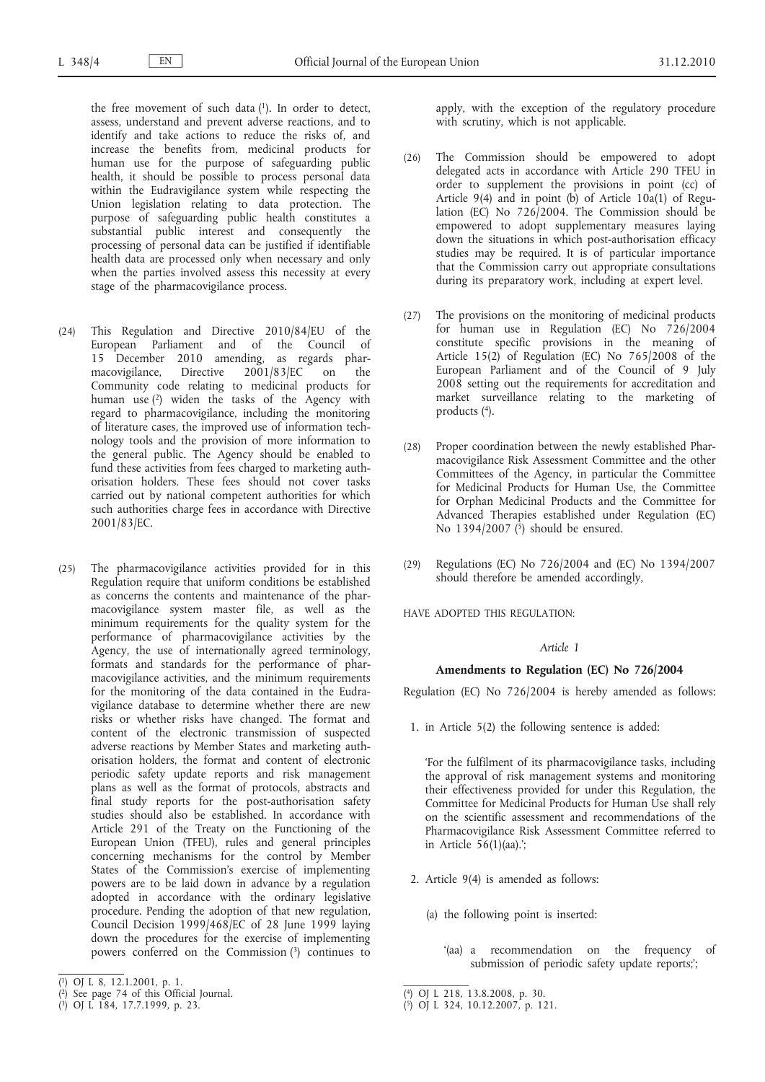the free movement of such data  $(1)$ . In order to detect, assess, understand and prevent adverse reactions, and to identify and take actions to reduce the risks of, and increase the benefits from, medicinal products for human use for the purpose of safeguarding public health, it should be possible to process personal data within the Eudravigilance system while respecting the Union legislation relating to data protection. The purpose of safeguarding public health constitutes a substantial public interest and consequently the processing of personal data can be justified if identifiable health data are processed only when necessary and only when the parties involved assess this necessity at every stage of the pharmacovigilance process.

- (24) This Regulation and Directive 2010/84/EU of the European Parliament and of the Council of 15 December 2010 amending, as regards pharmacovigilance, Directive 2001/83/EC on the Community code relating to medicinal products for human use (2) widen the tasks of the Agency with regard to pharmacovigilance, including the monitoring of literature cases, the improved use of information technology tools and the provision of more information to the general public. The Agency should be enabled to fund these activities from fees charged to marketing authorisation holders. These fees should not cover tasks carried out by national competent authorities for which such authorities charge fees in accordance with Directive 2001/83/EC.
- (25) The pharmacovigilance activities provided for in this Regulation require that uniform conditions be established as concerns the contents and maintenance of the pharmacovigilance system master file, as well as the minimum requirements for the quality system for the performance of pharmacovigilance activities by the Agency, the use of internationally agreed terminology, formats and standards for the performance of pharmacovigilance activities, and the minimum requirements for the monitoring of the data contained in the Eudravigilance database to determine whether there are new risks or whether risks have changed. The format and content of the electronic transmission of suspected adverse reactions by Member States and marketing authorisation holders, the format and content of electronic periodic safety update reports and risk management plans as well as the format of protocols, abstracts and final study reports for the post-authorisation safety studies should also be established. In accordance with Article 291 of the Treaty on the Functioning of the European Union (TFEU), rules and general principles concerning mechanisms for the control by Member States of the Commission's exercise of implementing powers are to be laid down in advance by a regulation adopted in accordance with the ordinary legislative procedure. Pending the adoption of that new regulation, Council Decision 1999/468/EC of 28 June 1999 laying down the procedures for the exercise of implementing powers conferred on the Commission (3) continues to

( 3) OJ L 184, 17.7.1999, p. 23.

apply, with the exception of the regulatory procedure with scrutiny, which is not applicable.

- (26) The Commission should be empowered to adopt delegated acts in accordance with Article 290 TFEU in order to supplement the provisions in point (cc) of Article 9(4) and in point (b) of Article 10a(1) of Regulation (EC) No 726/2004. The Commission should be empowered to adopt supplementary measures laying down the situations in which post-authorisation efficacy studies may be required. It is of particular importance that the Commission carry out appropriate consultations during its preparatory work, including at expert level.
- (27) The provisions on the monitoring of medicinal products for human use in Regulation (EC) No 726/2004 constitute specific provisions in the meaning of Article 15(2) of Regulation (EC) No 765/2008 of the European Parliament and of the Council of 9 July 2008 setting out the requirements for accreditation and market surveillance relating to the marketing of products (4).
- (28) Proper coordination between the newly established Pharmacovigilance Risk Assessment Committee and the other Committees of the Agency, in particular the Committee for Medicinal Products for Human Use, the Committee for Orphan Medicinal Products and the Committee for Advanced Therapies established under Regulation (EC) No 1394/2007  $(5)$  should be ensured.
- (29) Regulations (EC) No 726/2004 and (EC) No 1394/2007 should therefore be amended accordingly,
- HAVE ADOPTED THIS REGULATION:

# *Article 1*

#### **Amendments to Regulation (EC) No 726/2004**

Regulation (EC) No 726/2004 is hereby amended as follows:

1. in Article 5(2) the following sentence is added:

'For the fulfilment of its pharmacovigilance tasks, including the approval of risk management systems and monitoring their effectiveness provided for under this Regulation, the Committee for Medicinal Products for Human Use shall rely on the scientific assessment and recommendations of the Pharmacovigilance Risk Assessment Committee referred to in Article 56(1)(aa).';

- 2. Article 9(4) is amended as follows:
	- (a) the following point is inserted:
		- '(aa) a recommendation on the frequency of submission of periodic safety update reports;';

<sup>(</sup> 1) OJ L 8, 12.1.2001, p. 1.

<sup>(</sup> 2) See page 74 of this Official Journal.

<sup>(</sup> 4) OJ L 218, 13.8.2008, p. 30.

<sup>(</sup> 5) OJ L 324, 10.12.2007, p. 121.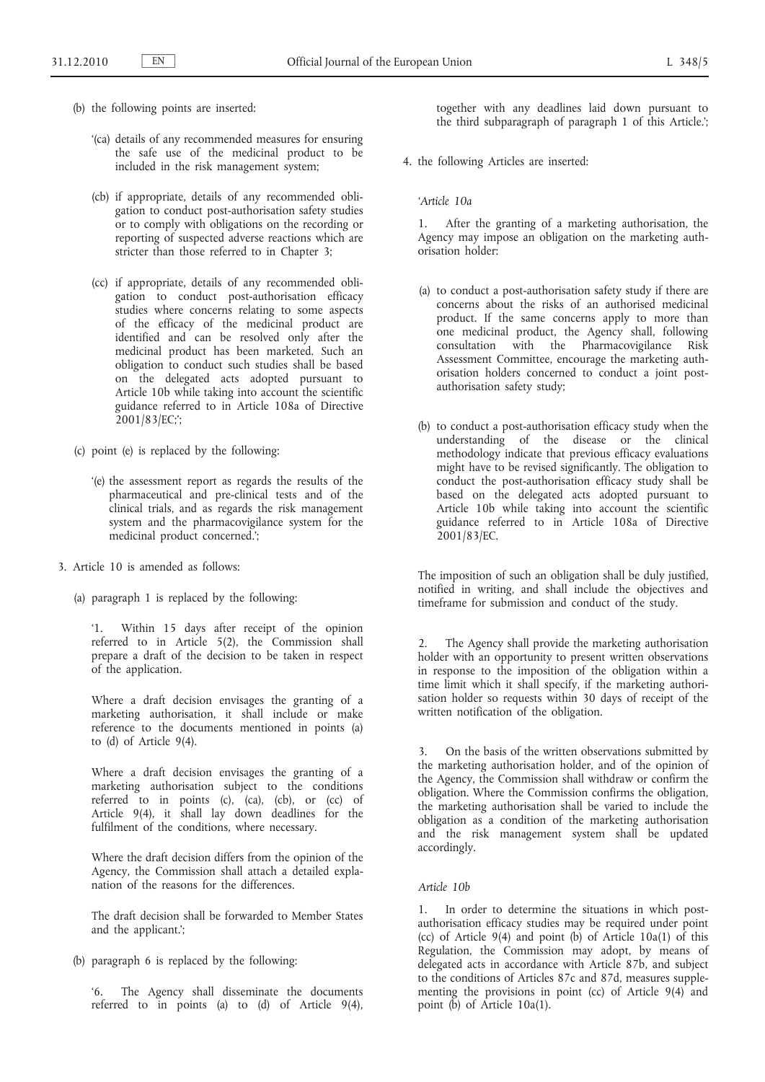- (b) the following points are inserted:
	- '(ca) details of any recommended measures for ensuring the safe use of the medicinal product to be included in the risk management system;
	- (cb) if appropriate, details of any recommended obligation to conduct post-authorisation safety studies or to comply with obligations on the recording or reporting of suspected adverse reactions which are stricter than those referred to in Chapter 3;
	- (cc) if appropriate, details of any recommended obligation to conduct post-authorisation efficacy studies where concerns relating to some aspects of the efficacy of the medicinal product are identified and can be resolved only after the medicinal product has been marketed. Such an obligation to conduct such studies shall be based on the delegated acts adopted pursuant to Article 10b while taking into account the scientific guidance referred to in Article 108a of Directive 2001/83/EC;';
- (c) point (e) is replaced by the following:
	- '(e) the assessment report as regards the results of the pharmaceutical and pre-clinical tests and of the clinical trials, and as regards the risk management system and the pharmacovigilance system for the medicinal product concerned.';
- 3. Article 10 is amended as follows:
	- (a) paragraph 1 is replaced by the following:

'1. Within 15 days after receipt of the opinion referred to in Article 5(2), the Commission shall prepare a draft of the decision to be taken in respect of the application.

Where a draft decision envisages the granting of a marketing authorisation, it shall include or make reference to the documents mentioned in points (a) to (d) of Article 9(4).

Where a draft decision envisages the granting of a marketing authorisation subject to the conditions referred to in points (c), (ca), (cb), or (cc) of Article 9(4), it shall lay down deadlines for the fulfilment of the conditions, where necessary.

Where the draft decision differs from the opinion of the Agency, the Commission shall attach a detailed explanation of the reasons for the differences.

The draft decision shall be forwarded to Member States and the applicant.';

(b) paragraph 6 is replaced by the following:

'6. The Agency shall disseminate the documents referred to in points (a) to (d) of Article 9(4), together with any deadlines laid down pursuant to the third subparagraph of paragraph 1 of this Article.';

4. the following Articles are inserted:

*'Article 10a*

After the granting of a marketing authorisation, the Agency may impose an obligation on the marketing authorisation holder:

- (a) to conduct a post-authorisation safety study if there are concerns about the risks of an authorised medicinal product. If the same concerns apply to more than one medicinal product, the Agency shall, following consultation with the Pharmacovigilance Risk Assessment Committee, encourage the marketing authorisation holders concerned to conduct a joint postauthorisation safety study;
- (b) to conduct a post-authorisation efficacy study when the understanding of the disease or the clinical methodology indicate that previous efficacy evaluations might have to be revised significantly. The obligation to conduct the post-authorisation efficacy study shall be based on the delegated acts adopted pursuant to Article 10b while taking into account the scientific guidance referred to in Article 108a of Directive 2001/83/EC.

The imposition of such an obligation shall be duly justified, notified in writing, and shall include the objectives and timeframe for submission and conduct of the study.

2. The Agency shall provide the marketing authorisation holder with an opportunity to present written observations in response to the imposition of the obligation within a time limit which it shall specify, if the marketing authorisation holder so requests within 30 days of receipt of the written notification of the obligation.

3. On the basis of the written observations submitted by the marketing authorisation holder, and of the opinion of the Agency, the Commission shall withdraw or confirm the obligation. Where the Commission confirms the obligation, the marketing authorisation shall be varied to include the obligation as a condition of the marketing authorisation and the risk management system shall be updated accordingly.

## *Article 10b*

1. In order to determine the situations in which postauthorisation efficacy studies may be required under point (cc) of Article 9(4) and point (b) of Article 10a(1) of this Regulation, the Commission may adopt, by means of delegated acts in accordance with Article 87b, and subject to the conditions of Articles 87c and 87d, measures supplementing the provisions in point (cc) of Article 9(4) and point (b) of Article 10a(1).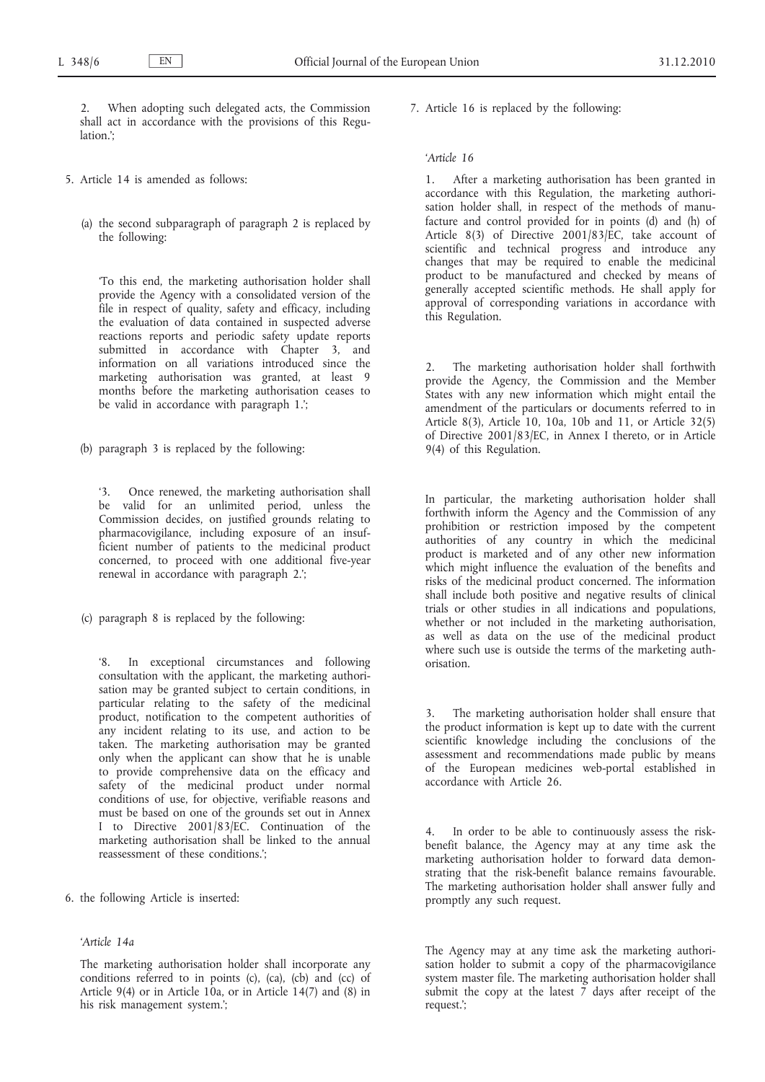When adopting such delegated acts, the Commission shall act in accordance with the provisions of this Regulation.';

- 5. Article 14 is amended as follows:
	- (a) the second subparagraph of paragraph 2 is replaced by the following:

'To this end, the marketing authorisation holder shall provide the Agency with a consolidated version of the file in respect of quality, safety and efficacy, including the evaluation of data contained in suspected adverse reactions reports and periodic safety update reports submitted in accordance with Chapter 3, and information on all variations introduced since the marketing authorisation was granted, at least 9 months before the marketing authorisation ceases to be valid in accordance with paragraph 1.';

(b) paragraph 3 is replaced by the following:

'3. Once renewed, the marketing authorisation shall be valid for an unlimited period, unless the Commission decides, on justified grounds relating to pharmacovigilance, including exposure of an insufficient number of patients to the medicinal product concerned, to proceed with one additional five-year renewal in accordance with paragraph 2.';

(c) paragraph 8 is replaced by the following:

'8. In exceptional circumstances and following consultation with the applicant, the marketing authorisation may be granted subject to certain conditions, in particular relating to the safety of the medicinal product, notification to the competent authorities of any incident relating to its use, and action to be taken. The marketing authorisation may be granted only when the applicant can show that he is unable to provide comprehensive data on the efficacy and safety of the medicinal product under normal conditions of use, for objective, verifiable reasons and must be based on one of the grounds set out in Annex I to Directive 2001/83/EC. Continuation of the marketing authorisation shall be linked to the annual reassessment of these conditions.';

6. the following Article is inserted:

## *'Article 14a*

The marketing authorisation holder shall incorporate any conditions referred to in points (c), (ca), (cb) and (cc) of Article 9(4) or in Article 10a, or in Article 14(7) and (8) in his risk management system.';

7. Article 16 is replaced by the following:

## *'Article 16*

1. After a marketing authorisation has been granted in accordance with this Regulation, the marketing authorisation holder shall, in respect of the methods of manufacture and control provided for in points (d) and (h) of Article 8(3) of Directive 2001/83/EC, take account of scientific and technical progress and introduce any changes that may be required to enable the medicinal product to be manufactured and checked by means of generally accepted scientific methods. He shall apply for approval of corresponding variations in accordance with this Regulation.

The marketing authorisation holder shall forthwith provide the Agency, the Commission and the Member States with any new information which might entail the amendment of the particulars or documents referred to in Article 8(3), Article 10, 10a, 10b and 11, or Article 32(5) of Directive 2001/83/EC, in Annex I thereto, or in Article 9(4) of this Regulation.

In particular, the marketing authorisation holder shall forthwith inform the Agency and the Commission of any prohibition or restriction imposed by the competent authorities of any country in which the medicinal product is marketed and of any other new information which might influence the evaluation of the benefits and risks of the medicinal product concerned. The information shall include both positive and negative results of clinical trials or other studies in all indications and populations, whether or not included in the marketing authorisation, as well as data on the use of the medicinal product where such use is outside the terms of the marketing authorisation.

The marketing authorisation holder shall ensure that the product information is kept up to date with the current scientific knowledge including the conclusions of the assessment and recommendations made public by means of the European medicines web-portal established in accordance with Article 26.

4. In order to be able to continuously assess the riskbenefit balance, the Agency may at any time ask the marketing authorisation holder to forward data demonstrating that the risk-benefit balance remains favourable. The marketing authorisation holder shall answer fully and promptly any such request.

The Agency may at any time ask the marketing authorisation holder to submit a copy of the pharmacovigilance system master file. The marketing authorisation holder shall submit the copy at the latest  $\overline{7}$  days after receipt of the request.';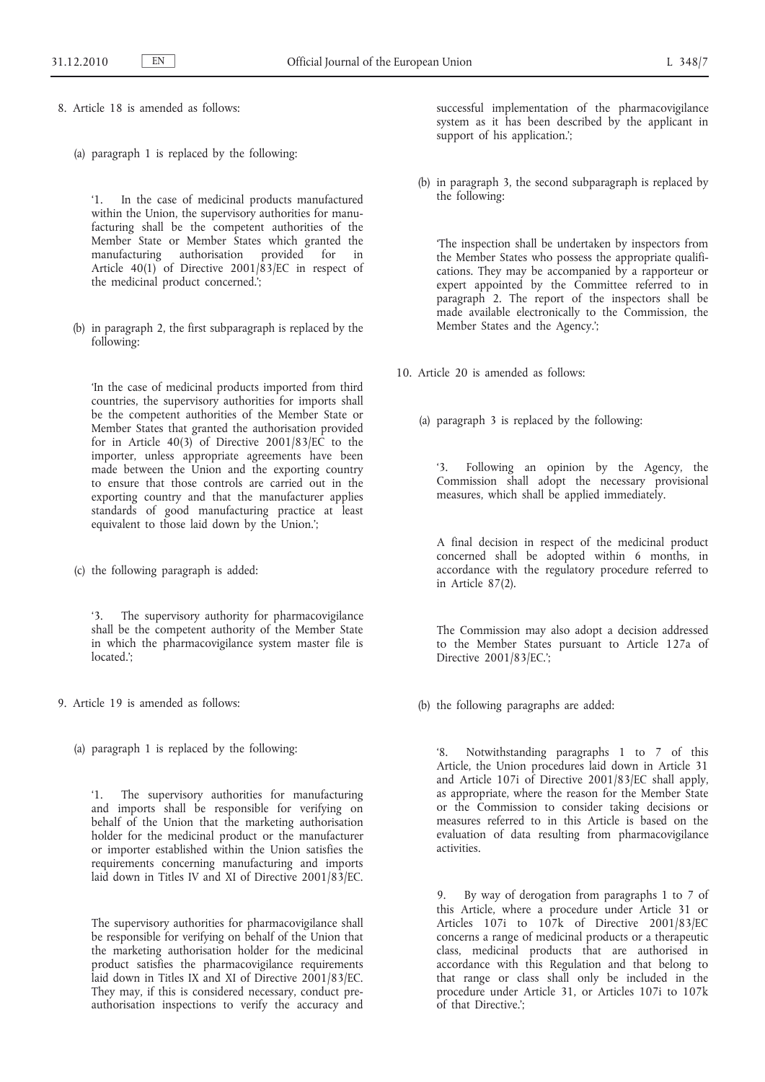- 8. Article 18 is amended as follows:
	- (a) paragraph 1 is replaced by the following:

'1. In the case of medicinal products manufactured within the Union, the supervisory authorities for manufacturing shall be the competent authorities of the Member State or Member States which granted the manufacturing authorisation provided for in Article  $40(1)$  of Directive 2001/83/EC in respect of the medicinal product concerned.';

(b) in paragraph 2, the first subparagraph is replaced by the following:

'In the case of medicinal products imported from third countries, the supervisory authorities for imports shall be the competent authorities of the Member State or Member States that granted the authorisation provided for in Article  $40(3)$  of Directive 2001/83/EC to the importer, unless appropriate agreements have been made between the Union and the exporting country to ensure that those controls are carried out in the exporting country and that the manufacturer applies standards of good manufacturing practice at least equivalent to those laid down by the Union.';

(c) the following paragraph is added:

'3. The supervisory authority for pharmacovigilance shall be the competent authority of the Member State in which the pharmacovigilance system master file is located.';

- 9. Article 19 is amended as follows:
	- (a) paragraph 1 is replaced by the following:

'1. The supervisory authorities for manufacturing and imports shall be responsible for verifying on behalf of the Union that the marketing authorisation holder for the medicinal product or the manufacturer or importer established within the Union satisfies the requirements concerning manufacturing and imports laid down in Titles IV and XI of Directive 2001/83/EC.

The supervisory authorities for pharmacovigilance shall be responsible for verifying on behalf of the Union that the marketing authorisation holder for the medicinal product satisfies the pharmacovigilance requirements laid down in Titles IX and XI of Directive 2001/83/EC. They may, if this is considered necessary, conduct preauthorisation inspections to verify the accuracy and successful implementation of the pharmacovigilance system as it has been described by the applicant in support of his application.';

(b) in paragraph 3, the second subparagraph is replaced by the following:

'The inspection shall be undertaken by inspectors from the Member States who possess the appropriate qualifications. They may be accompanied by a rapporteur or expert appointed by the Committee referred to in paragraph 2. The report of the inspectors shall be made available electronically to the Commission, the Member States and the Agency.';

10. Article 20 is amended as follows:

(a) paragraph 3 is replaced by the following:

'3. Following an opinion by the Agency, the Commission shall adopt the necessary provisional measures, which shall be applied immediately.

A final decision in respect of the medicinal product concerned shall be adopted within 6 months, in accordance with the regulatory procedure referred to in Article 87(2).

The Commission may also adopt a decision addressed to the Member States pursuant to Article 127a of Directive 2001/83/EC.';

(b) the following paragraphs are added:

'8. Notwithstanding paragraphs 1 to 7 of this Article, the Union procedures laid down in Article 31 and Article 107i of Directive 2001/83/EC shall apply, as appropriate, where the reason for the Member State or the Commission to consider taking decisions or measures referred to in this Article is based on the evaluation of data resulting from pharmacovigilance activities.

9. By way of derogation from paragraphs 1 to 7 of this Article, where a procedure under Article 31 or Articles 107i to 107k of Directive 2001/83/EC concerns a range of medicinal products or a therapeutic class, medicinal products that are authorised in accordance with this Regulation and that belong to that range or class shall only be included in the procedure under Article 31, or Articles 107i to 107k of that Directive.';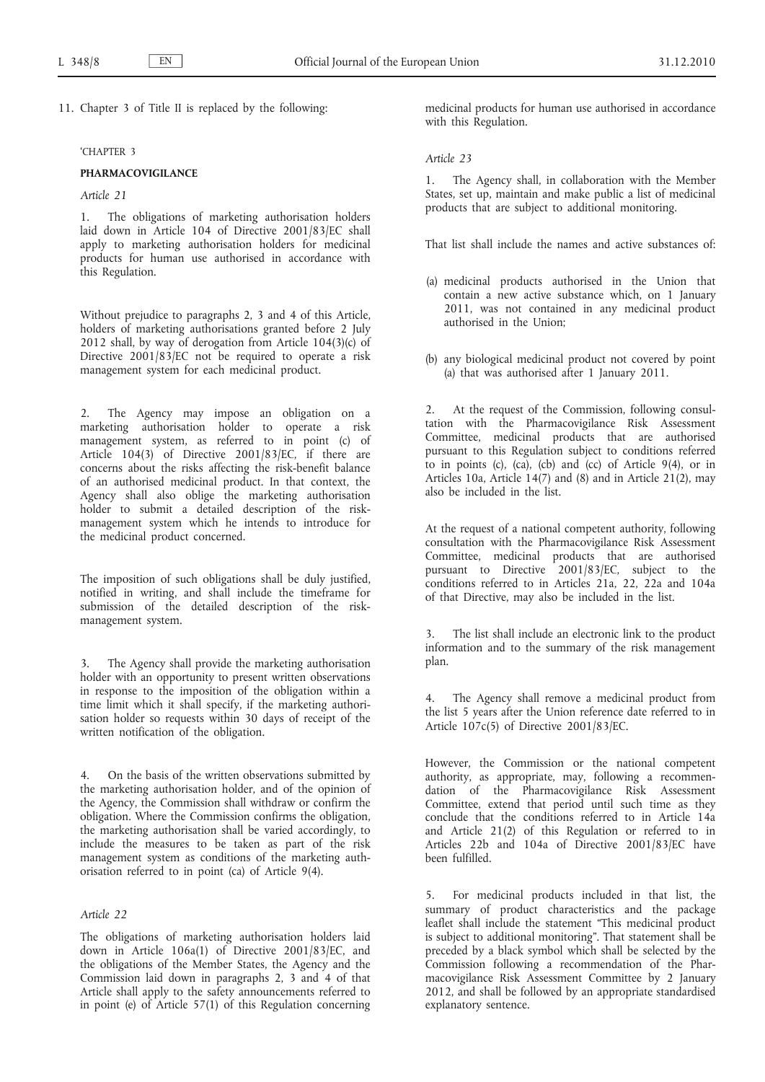11. Chapter 3 of Title II is replaced by the following:

#### 'CHAPTER 3

# **PHARMACOVIGILANCE**

*Article 21*

1. The obligations of marketing authorisation holders laid down in Article 104 of Directive 2001/83/EC shall apply to marketing authorisation holders for medicinal products for human use authorised in accordance with this Regulation.

Without prejudice to paragraphs 2, 3 and 4 of this Article, holders of marketing authorisations granted before 2 July 2012 shall, by way of derogation from Article 104(3)(c) of Directive 2001/83/EC not be required to operate a risk management system for each medicinal product.

2. The Agency may impose an obligation on a marketing authorisation holder to operate a risk management system, as referred to in point (c) of Article 104(3) of Directive 2001/83/EC, if there are concerns about the risks affecting the risk-benefit balance of an authorised medicinal product. In that context, the Agency shall also oblige the marketing authorisation holder to submit a detailed description of the riskmanagement system which he intends to introduce for the medicinal product concerned.

The imposition of such obligations shall be duly justified, notified in writing, and shall include the timeframe for submission of the detailed description of the riskmanagement system.

3. The Agency shall provide the marketing authorisation holder with an opportunity to present written observations in response to the imposition of the obligation within a time limit which it shall specify, if the marketing authorisation holder so requests within 30 days of receipt of the written notification of the obligation.

4. On the basis of the written observations submitted by the marketing authorisation holder, and of the opinion of the Agency, the Commission shall withdraw or confirm the obligation. Where the Commission confirms the obligation, the marketing authorisation shall be varied accordingly, to include the measures to be taken as part of the risk management system as conditions of the marketing authorisation referred to in point (ca) of Article 9(4).

#### *Article 22*

The obligations of marketing authorisation holders laid down in Article 106a(1) of Directive 2001/83/EC, and the obligations of the Member States, the Agency and the Commission laid down in paragraphs 2, 3 and 4 of that Article shall apply to the safety announcements referred to in point (e) of Article 57(1) of this Regulation concerning medicinal products for human use authorised in accordance with this Regulation.

#### *Article 23*

1. The Agency shall, in collaboration with the Member States, set up, maintain and make public a list of medicinal products that are subject to additional monitoring.

That list shall include the names and active substances of:

- (a) medicinal products authorised in the Union that contain a new active substance which, on 1 January 2011, was not contained in any medicinal product authorised in the Union;
- (b) any biological medicinal product not covered by point (a) that was authorised after 1 January 2011.

2. At the request of the Commission, following consultation with the Pharmacovigilance Risk Assessment Committee, medicinal products that are authorised pursuant to this Regulation subject to conditions referred to in points (c), (ca), (cb) and (cc) of Article 9(4), or in Articles 10a, Article 14(7) and (8) and in Article 21(2), may also be included in the list.

At the request of a national competent authority, following consultation with the Pharmacovigilance Risk Assessment Committee, medicinal products that are authorised pursuant to Directive 2001/83/EC, subject to the conditions referred to in Articles 21a, 22, 22a and 104a of that Directive, may also be included in the list.

The list shall include an electronic link to the product information and to the summary of the risk management plan.

The Agency shall remove a medicinal product from the list 5 years after the Union reference date referred to in Article 107c(5) of Directive 2001/83/EC.

However, the Commission or the national competent authority, as appropriate, may, following a recommendation of the Pharmacovigilance Risk Assessment Committee, extend that period until such time as they conclude that the conditions referred to in Article 14a and Article 21(2) of this Regulation or referred to in Articles 22b and 104a of Directive 2001/83/EC have been fulfilled.

5. For medicinal products included in that list, the summary of product characteristics and the package leaflet shall include the statement "This medicinal product is subject to additional monitoring". That statement shall be preceded by a black symbol which shall be selected by the Commission following a recommendation of the Pharmacovigilance Risk Assessment Committee by 2 January 2012, and shall be followed by an appropriate standardised explanatory sentence.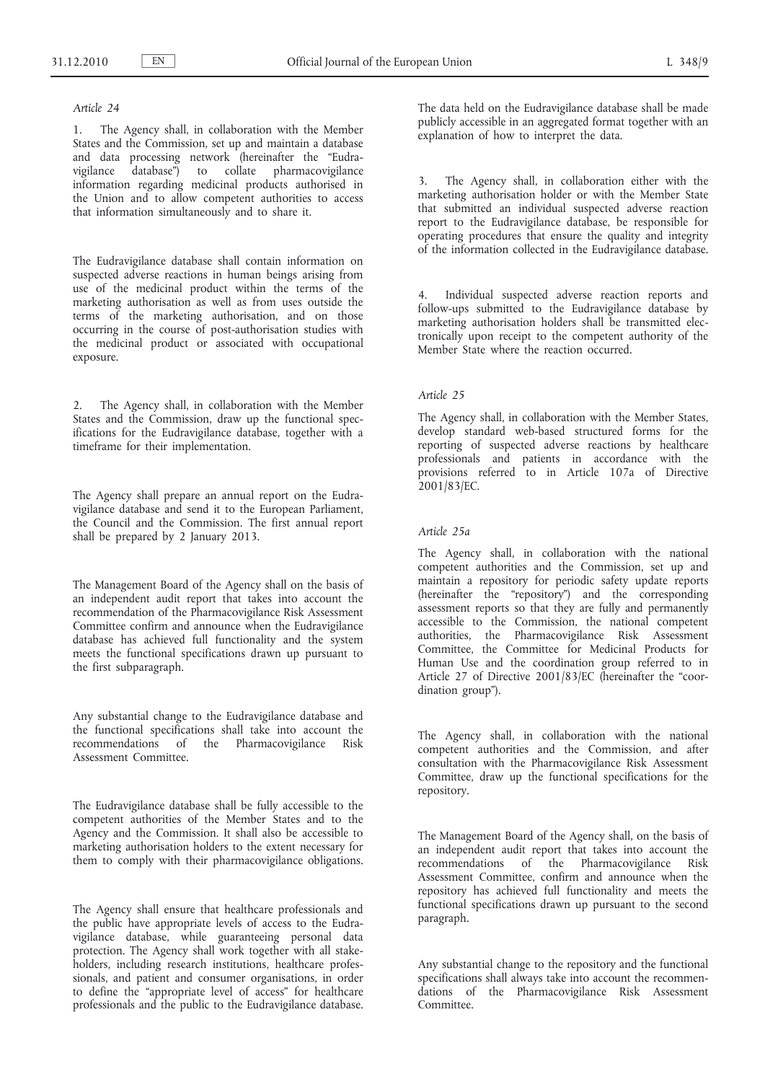#### *Article 24*

1. The Agency shall, in collaboration with the Member States and the Commission, set up and maintain a database and data processing network (hereinafter the "Eudravigilance database") to collate pharmacovigilance information regarding medicinal products authorised in the Union and to allow competent authorities to access that information simultaneously and to share it.

The Eudravigilance database shall contain information on suspected adverse reactions in human beings arising from use of the medicinal product within the terms of the marketing authorisation as well as from uses outside the terms of the marketing authorisation, and on those occurring in the course of post-authorisation studies with the medicinal product or associated with occupational exposure.

2. The Agency shall, in collaboration with the Member States and the Commission, draw up the functional specifications for the Eudravigilance database, together with a timeframe for their implementation.

The Agency shall prepare an annual report on the Eudravigilance database and send it to the European Parliament, the Council and the Commission. The first annual report shall be prepared by 2 January 2013.

The Management Board of the Agency shall on the basis of an independent audit report that takes into account the recommendation of the Pharmacovigilance Risk Assessment Committee confirm and announce when the Eudravigilance database has achieved full functionality and the system meets the functional specifications drawn up pursuant to the first subparagraph.

Any substantial change to the Eudravigilance database and the functional specifications shall take into account the recommendations of the Pharmacovigilance Risk Assessment Committee.

The Eudravigilance database shall be fully accessible to the competent authorities of the Member States and to the Agency and the Commission. It shall also be accessible to marketing authorisation holders to the extent necessary for them to comply with their pharmacovigilance obligations.

The Agency shall ensure that healthcare professionals and the public have appropriate levels of access to the Eudravigilance database, while guaranteeing personal data protection. The Agency shall work together with all stakeholders, including research institutions, healthcare professionals, and patient and consumer organisations, in order to define the "appropriate level of access" for healthcare professionals and the public to the Eudravigilance database.

The data held on the Eudravigilance database shall be made publicly accessible in an aggregated format together with an explanation of how to interpret the data.

3. The Agency shall, in collaboration either with the marketing authorisation holder or with the Member State that submitted an individual suspected adverse reaction report to the Eudravigilance database, be responsible for operating procedures that ensure the quality and integrity of the information collected in the Eudravigilance database.

4. Individual suspected adverse reaction reports and follow-ups submitted to the Eudravigilance database by marketing authorisation holders shall be transmitted electronically upon receipt to the competent authority of the Member State where the reaction occurred.

#### *Article 25*

The Agency shall, in collaboration with the Member States, develop standard web-based structured forms for the reporting of suspected adverse reactions by healthcare professionals and patients in accordance with the provisions referred to in Article 107a of Directive 2001/83/EC.

# *Article 25a*

The Agency shall, in collaboration with the national competent authorities and the Commission, set up and maintain a repository for periodic safety update reports (hereinafter the "repository") and the corresponding assessment reports so that they are fully and permanently accessible to the Commission, the national competent authorities, the Pharmacovigilance Risk Assessment Committee, the Committee for Medicinal Products for Human Use and the coordination group referred to in Article 27 of Directive 2001/83/EC (hereinafter the "coordination group").

The Agency shall, in collaboration with the national competent authorities and the Commission, and after consultation with the Pharmacovigilance Risk Assessment Committee, draw up the functional specifications for the repository.

The Management Board of the Agency shall, on the basis of an independent audit report that takes into account the recommendations of the Pharmacovigilance Risk Assessment Committee, confirm and announce when the repository has achieved full functionality and meets the functional specifications drawn up pursuant to the second paragraph.

Any substantial change to the repository and the functional specifications shall always take into account the recommendations of the Pharmacovigilance Risk Assessment Committee.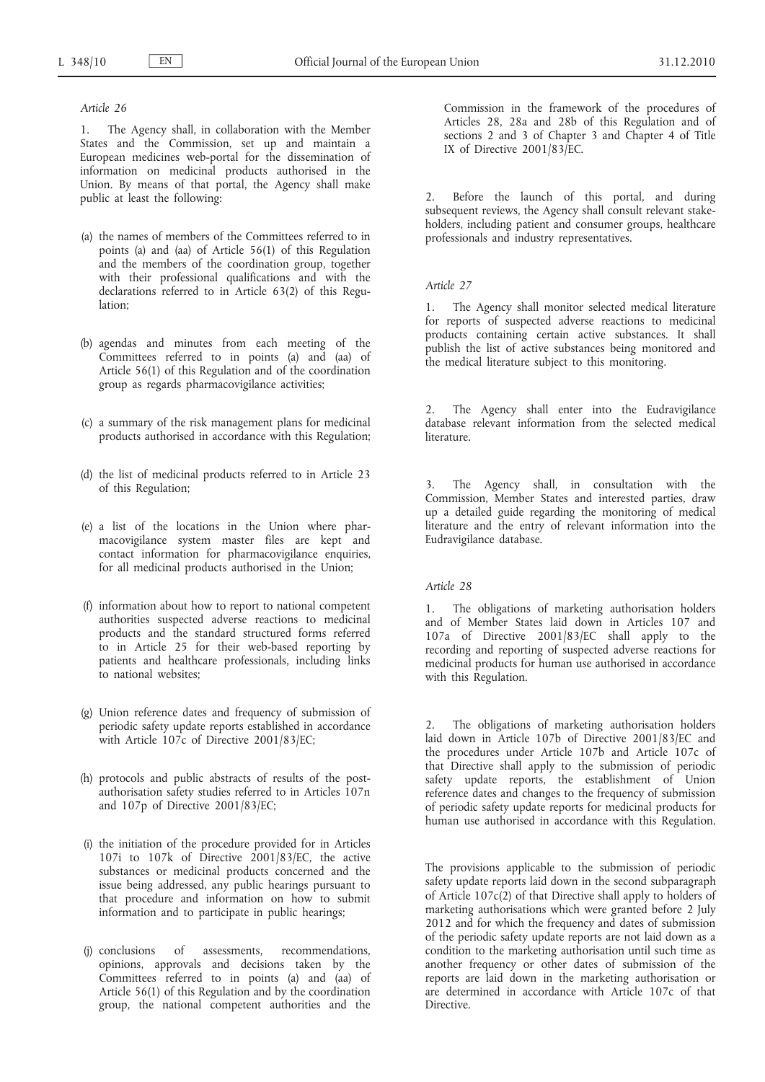## *Article 26*

1. The Agency shall, in collaboration with the Member States and the Commission, set up and maintain a European medicines web-portal for the dissemination of information on medicinal products authorised in the Union. By means of that portal, the Agency shall make public at least the following:

- (a) the names of members of the Committees referred to in points (a) and (aa) of Article 56(1) of this Regulation and the members of the coordination group, together with their professional qualifications and with the declarations referred to in Article 63(2) of this Regulation;
- (b) agendas and minutes from each meeting of the Committees referred to in points (a) and (aa) of Article 56(1) of this Regulation and of the coordination group as regards pharmacovigilance activities;
- (c) a summary of the risk management plans for medicinal products authorised in accordance with this Regulation;
- (d) the list of medicinal products referred to in Article 23 of this Regulation;
- (e) a list of the locations in the Union where pharmacovigilance system master files are kept and contact information for pharmacovigilance enquiries, for all medicinal products authorised in the Union;
- (f) information about how to report to national competent authorities suspected adverse reactions to medicinal products and the standard structured forms referred to in Article 25 for their web-based reporting by patients and healthcare professionals, including links to national websites;
- (g) Union reference dates and frequency of submission of periodic safety update reports established in accordance with Article 107c of Directive 2001/83/EC;
- (h) protocols and public abstracts of results of the postauthorisation safety studies referred to in Articles 107n and 107p of Directive 2001/83/EC;
- (i) the initiation of the procedure provided for in Articles 107i to 107k of Directive 2001/83/EC, the active substances or medicinal products concerned and the issue being addressed, any public hearings pursuant to that procedure and information on how to submit information and to participate in public hearings;
- (j) conclusions of assessments, recommendations, opinions, approvals and decisions taken by the Committees referred to in points (a) and (aa) of Article 56(1) of this Regulation and by the coordination group, the national competent authorities and the

Commission in the framework of the procedures of Articles 28, 28a and 28b of this Regulation and of sections 2 and 3 of Chapter 3 and Chapter 4 of Title IX of Directive 2001/83/EC.

2. Before the launch of this portal, and during subsequent reviews, the Agency shall consult relevant stakeholders, including patient and consumer groups, healthcare professionals and industry representatives.

## *Article 27*

1. The Agency shall monitor selected medical literature for reports of suspected adverse reactions to medicinal products containing certain active substances. It shall publish the list of active substances being monitored and the medical literature subject to this monitoring.

The Agency shall enter into the Eudravigilance database relevant information from the selected medical literature.

3. The Agency shall, in consultation with the Commission, Member States and interested parties, draw up a detailed guide regarding the monitoring of medical literature and the entry of relevant information into the Eudravigilance database.

# *Article 28*

1. The obligations of marketing authorisation holders and of Member States laid down in Articles 107 and 107a of Directive 2001/83/EC shall apply to the recording and reporting of suspected adverse reactions for medicinal products for human use authorised in accordance with this Regulation.

2. The obligations of marketing authorisation holders laid down in Article 107b of Directive 2001/83/EC and the procedures under Article 107b and Article 107c of that Directive shall apply to the submission of periodic safety update reports, the establishment of Union reference dates and changes to the frequency of submission of periodic safety update reports for medicinal products for human use authorised in accordance with this Regulation.

The provisions applicable to the submission of periodic safety update reports laid down in the second subparagraph of Article  $107c(2)$  of that Directive shall apply to holders of marketing authorisations which were granted before 2 July 2012 and for which the frequency and dates of submission of the periodic safety update reports are not laid down as a condition to the marketing authorisation until such time as another frequency or other dates of submission of the reports are laid down in the marketing authorisation or are determined in accordance with Article 107c of that Directive.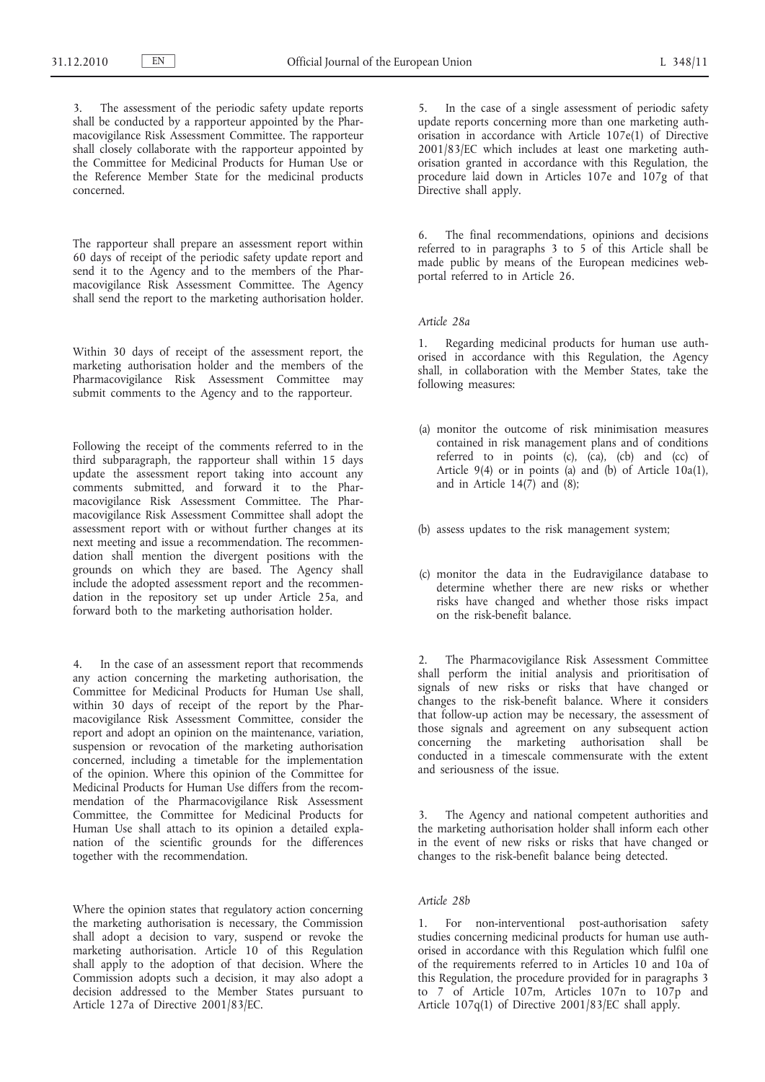The assessment of the periodic safety update reports shall be conducted by a rapporteur appointed by the Pharmacovigilance Risk Assessment Committee. The rapporteur shall closely collaborate with the rapporteur appointed by the Committee for Medicinal Products for Human Use or the Reference Member State for the medicinal products concerned.

The rapporteur shall prepare an assessment report within 60 days of receipt of the periodic safety update report and send it to the Agency and to the members of the Pharmacovigilance Risk Assessment Committee. The Agency shall send the report to the marketing authorisation holder.

Within 30 days of receipt of the assessment report, the marketing authorisation holder and the members of the Pharmacovigilance Risk Assessment Committee may submit comments to the Agency and to the rapporteur.

Following the receipt of the comments referred to in the third subparagraph, the rapporteur shall within 15 days update the assessment report taking into account any comments submitted, and forward it to the Pharmacovigilance Risk Assessment Committee. The Pharmacovigilance Risk Assessment Committee shall adopt the assessment report with or without further changes at its next meeting and issue a recommendation. The recommendation shall mention the divergent positions with the grounds on which they are based. The Agency shall include the adopted assessment report and the recommendation in the repository set up under Article 25a, and forward both to the marketing authorisation holder.

4. In the case of an assessment report that recommends any action concerning the marketing authorisation, the Committee for Medicinal Products for Human Use shall, within 30 days of receipt of the report by the Pharmacovigilance Risk Assessment Committee, consider the report and adopt an opinion on the maintenance, variation, suspension or revocation of the marketing authorisation concerned, including a timetable for the implementation of the opinion. Where this opinion of the Committee for Medicinal Products for Human Use differs from the recommendation of the Pharmacovigilance Risk Assessment Committee, the Committee for Medicinal Products for Human Use shall attach to its opinion a detailed explanation of the scientific grounds for the differences together with the recommendation.

Where the opinion states that regulatory action concerning the marketing authorisation is necessary, the Commission shall adopt a decision to vary, suspend or revoke the marketing authorisation. Article 10 of this Regulation shall apply to the adoption of that decision. Where the Commission adopts such a decision, it may also adopt a decision addressed to the Member States pursuant to Article 127a of Directive 2001/83/EC.

5. In the case of a single assessment of periodic safety update reports concerning more than one marketing authorisation in accordance with Article 107e(1) of Directive 2001/83/EC which includes at least one marketing authorisation granted in accordance with this Regulation, the procedure laid down in Articles 107e and 107g of that Directive shall apply.

6. The final recommendations, opinions and decisions referred to in paragraphs 3 to 5 of this Article shall be made public by means of the European medicines webportal referred to in Article 26.

#### *Article 28a*

1. Regarding medicinal products for human use authorised in accordance with this Regulation, the Agency shall, in collaboration with the Member States, take the following measures:

- (a) monitor the outcome of risk minimisation measures contained in risk management plans and of conditions referred to in points (c), (ca), (cb) and (cc) of Article 9(4) or in points (a) and (b) of Article 10a(1), and in Article  $14(7)$  and (8);
- (b) assess updates to the risk management system;
- (c) monitor the data in the Eudravigilance database to determine whether there are new risks or whether risks have changed and whether those risks impact on the risk-benefit balance.

2. The Pharmacovigilance Risk Assessment Committee shall perform the initial analysis and prioritisation of signals of new risks or risks that have changed or changes to the risk-benefit balance. Where it considers that follow-up action may be necessary, the assessment of those signals and agreement on any subsequent action concerning the marketing authorisation shall be conducted in a timescale commensurate with the extent and seriousness of the issue.

3. The Agency and national competent authorities and the marketing authorisation holder shall inform each other in the event of new risks or risks that have changed or changes to the risk-benefit balance being detected.

## *Article 28b*

1. For non-interventional post-authorisation safety studies concerning medicinal products for human use authorised in accordance with this Regulation which fulfil one of the requirements referred to in Articles 10 and 10a of this Regulation, the procedure provided for in paragraphs 3 to 7 of Article 107m, Articles 107n to 107p and Article 107q(1) of Directive 2001/83/EC shall apply.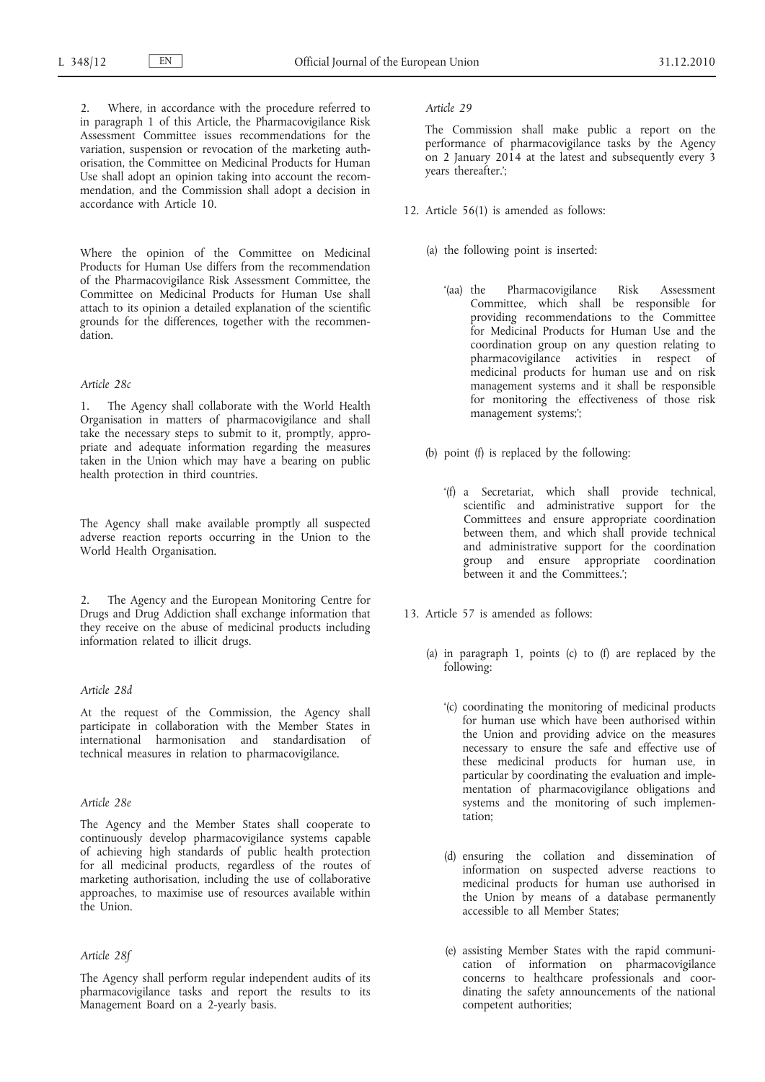Where, in accordance with the procedure referred to in paragraph 1 of this Article, the Pharmacovigilance Risk Assessment Committee issues recommendations for the variation, suspension or revocation of the marketing authorisation, the Committee on Medicinal Products for Human Use shall adopt an opinion taking into account the recommendation, and the Commission shall adopt a decision in accordance with Article 10.

Where the opinion of the Committee on Medicinal Products for Human Use differs from the recommendation of the Pharmacovigilance Risk Assessment Committee, the Committee on Medicinal Products for Human Use shall attach to its opinion a detailed explanation of the scientific grounds for the differences, together with the recommendation.

# *Article 28c*

1. The Agency shall collaborate with the World Health Organisation in matters of pharmacovigilance and shall take the necessary steps to submit to it, promptly, appropriate and adequate information regarding the measures taken in the Union which may have a bearing on public health protection in third countries.

The Agency shall make available promptly all suspected adverse reaction reports occurring in the Union to the World Health Organisation.

2. The Agency and the European Monitoring Centre for Drugs and Drug Addiction shall exchange information that they receive on the abuse of medicinal products including information related to illicit drugs.

#### *Article 28d*

At the request of the Commission, the Agency shall participate in collaboration with the Member States in international harmonisation and standardisation of technical measures in relation to pharmacovigilance.

## *Article 28e*

The Agency and the Member States shall cooperate to continuously develop pharmacovigilance systems capable of achieving high standards of public health protection for all medicinal products, regardless of the routes of marketing authorisation, including the use of collaborative approaches, to maximise use of resources available within the Union.

# *Article 28f*

The Agency shall perform regular independent audits of its pharmacovigilance tasks and report the results to its Management Board on a 2-yearly basis.

#### *Article 29*

The Commission shall make public a report on the performance of pharmacovigilance tasks by the Agency on 2 January 2014 at the latest and subsequently every 3 years thereafter.';

- 12. Article 56(1) is amended as follows:
	- (a) the following point is inserted:
		- '(aa) the Pharmacovigilance Risk Assessment Committee, which shall be responsible for providing recommendations to the Committee for Medicinal Products for Human Use and the coordination group on any question relating to pharmacovigilance activities in respect of medicinal products for human use and on risk management systems and it shall be responsible for monitoring the effectiveness of those risk management systems;';
	- (b) point (f) is replaced by the following:
		- '(f) a Secretariat, which shall provide technical, scientific and administrative support for the Committees and ensure appropriate coordination between them, and which shall provide technical and administrative support for the coordination group and ensure appropriate coordination between it and the Committees.':
- 13. Article 57 is amended as follows:
	- (a) in paragraph 1, points (c) to (f) are replaced by the following:
		- '(c) coordinating the monitoring of medicinal products for human use which have been authorised within the Union and providing advice on the measures necessary to ensure the safe and effective use of these medicinal products for human use, in particular by coordinating the evaluation and implementation of pharmacovigilance obligations and systems and the monitoring of such implementation;
		- (d) ensuring the collation and dissemination of information on suspected adverse reactions to medicinal products for human use authorised in the Union by means of a database permanently accessible to all Member States;
		- (e) assisting Member States with the rapid communication of information on pharmacovigilance concerns to healthcare professionals and coordinating the safety announcements of the national competent authorities;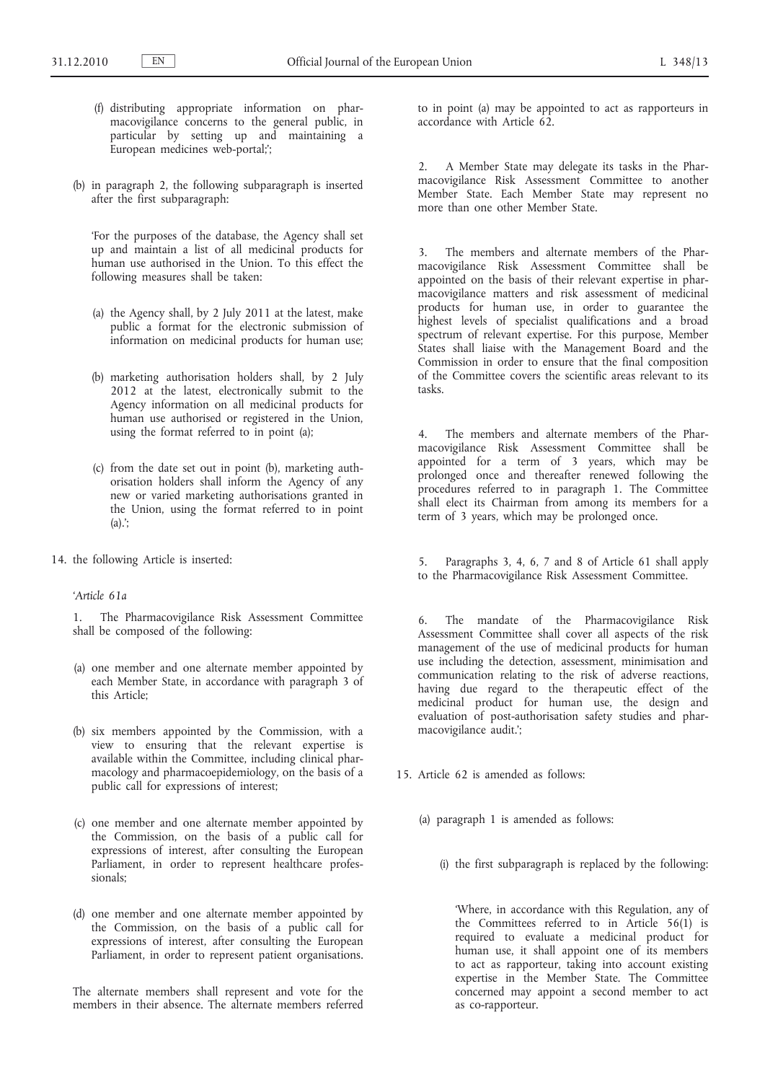- (f) distributing appropriate information on pharmacovigilance concerns to the general public, in particular by setting up and maintaining a European medicines web-portal;';
- (b) in paragraph 2, the following subparagraph is inserted after the first subparagraph:

'For the purposes of the database, the Agency shall set up and maintain a list of all medicinal products for human use authorised in the Union. To this effect the following measures shall be taken:

- (a) the Agency shall, by 2 July 2011 at the latest, make public a format for the electronic submission of information on medicinal products for human use;
- (b) marketing authorisation holders shall, by 2 July 2012 at the latest, electronically submit to the Agency information on all medicinal products for human use authorised or registered in the Union, using the format referred to in point (a);
- (c) from the date set out in point (b), marketing authorisation holders shall inform the Agency of any new or varied marketing authorisations granted in the Union, using the format referred to in point  $(a)$ :
- 14. the following Article is inserted:

## *'Article 61a*

1. The Pharmacovigilance Risk Assessment Committee shall be composed of the following:

- (a) one member and one alternate member appointed by each Member State, in accordance with paragraph 3 of this Article;
- (b) six members appointed by the Commission, with a view to ensuring that the relevant expertise is available within the Committee, including clinical pharmacology and pharmacoepidemiology, on the basis of a public call for expressions of interest;
- (c) one member and one alternate member appointed by the Commission, on the basis of a public call for expressions of interest, after consulting the European Parliament, in order to represent healthcare professionals;
- (d) one member and one alternate member appointed by the Commission, on the basis of a public call for expressions of interest, after consulting the European Parliament, in order to represent patient organisations.

The alternate members shall represent and vote for the members in their absence. The alternate members referred to in point (a) may be appointed to act as rapporteurs in accordance with Article 62.

2. A Member State may delegate its tasks in the Pharmacovigilance Risk Assessment Committee to another Member State. Each Member State may represent no more than one other Member State.

3. The members and alternate members of the Pharmacovigilance Risk Assessment Committee shall be appointed on the basis of their relevant expertise in pharmacovigilance matters and risk assessment of medicinal products for human use, in order to guarantee the highest levels of specialist qualifications and a broad spectrum of relevant expertise. For this purpose, Member States shall liaise with the Management Board and the Commission in order to ensure that the final composition of the Committee covers the scientific areas relevant to its tasks.

4. The members and alternate members of the Pharmacovigilance Risk Assessment Committee shall be appointed for a term of 3 years, which may be prolonged once and thereafter renewed following the procedures referred to in paragraph 1. The Committee shall elect its Chairman from among its members for a term of 3 years, which may be prolonged once.

5. Paragraphs 3, 4, 6, 7 and 8 of Article 61 shall apply to the Pharmacovigilance Risk Assessment Committee.

6. The mandate of the Pharmacovigilance Risk Assessment Committee shall cover all aspects of the risk management of the use of medicinal products for human use including the detection, assessment, minimisation and communication relating to the risk of adverse reactions, having due regard to the therapeutic effect of the medicinal product for human use, the design and evaluation of post-authorisation safety studies and pharmacovigilance audit.';

- 15. Article 62 is amended as follows:
	- (a) paragraph 1 is amended as follows:
		- (i) the first subparagraph is replaced by the following:

'Where, in accordance with this Regulation, any of the Committees referred to in Article 56(1) is required to evaluate a medicinal product for human use, it shall appoint one of its members to act as rapporteur, taking into account existing expertise in the Member State. The Committee concerned may appoint a second member to act as co-rapporteur.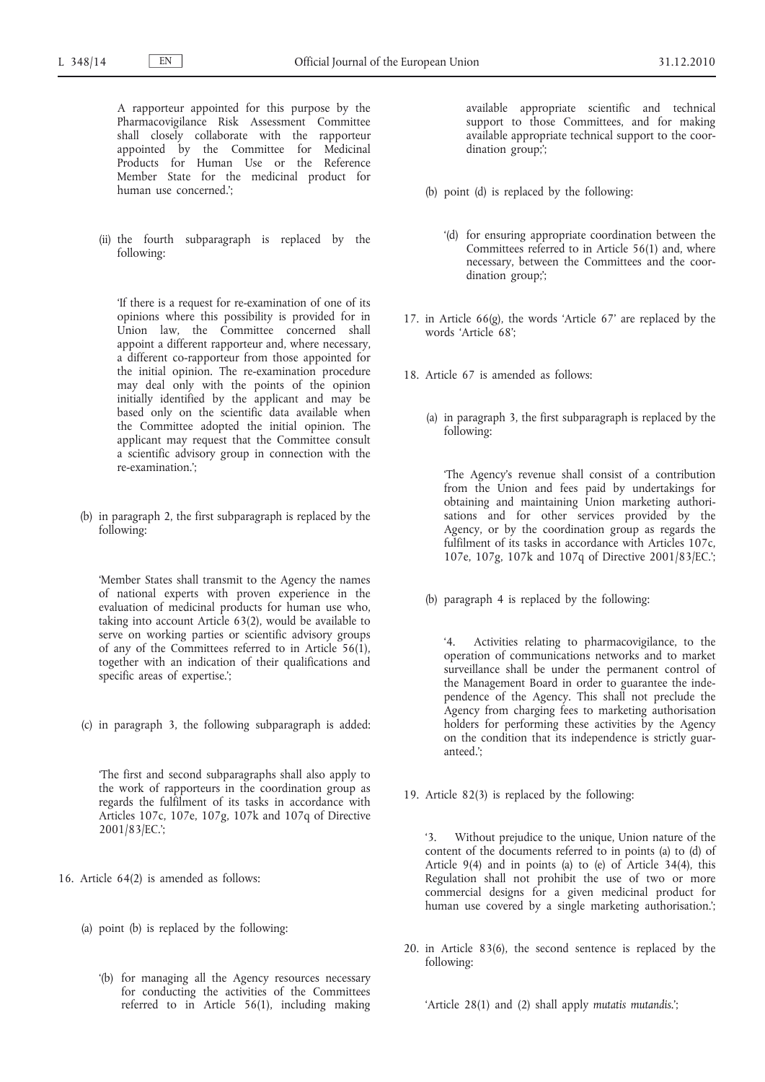A rapporteur appointed for this purpose by the Pharmacovigilance Risk Assessment Committee shall closely collaborate with the rapporteur appointed by the Committee for Medicinal Products for Human Use or the Reference Member State for the medicinal product for human use concerned.';

(ii) the fourth subparagraph is replaced by the following:

'If there is a request for re-examination of one of its opinions where this possibility is provided for in Union law, the Committee concerned shall appoint a different rapporteur and, where necessary, a different co-rapporteur from those appointed for the initial opinion. The re-examination procedure may deal only with the points of the opinion initially identified by the applicant and may be based only on the scientific data available when the Committee adopted the initial opinion. The applicant may request that the Committee consult a scientific advisory group in connection with the re-examination.';

(b) in paragraph 2, the first subparagraph is replaced by the following:

'Member States shall transmit to the Agency the names of national experts with proven experience in the evaluation of medicinal products for human use who, taking into account Article 63(2), would be available to serve on working parties or scientific advisory groups of any of the Committees referred to in Article 56(1), together with an indication of their qualifications and specific areas of expertise.';

(c) in paragraph 3, the following subparagraph is added:

'The first and second subparagraphs shall also apply to the work of rapporteurs in the coordination group as regards the fulfilment of its tasks in accordance with Articles 107c, 107e, 107g, 107k and 107q of Directive 2001/83/EC.';

- 16. Article 64(2) is amended as follows:
	- (a) point (b) is replaced by the following:
		- '(b) for managing all the Agency resources necessary for conducting the activities of the Committees referred to in Article 56(1), including making

available appropriate scientific and technical support to those Committees, and for making available appropriate technical support to the coordination group;';

- (b) point (d) is replaced by the following:
	- '(d) for ensuring appropriate coordination between the Committees referred to in Article 56(1) and, where necessary, between the Committees and the coordination group;';
- 17. in Article 66(g), the words 'Article 67' are replaced by the words 'Article 68';
- 18. Article 67 is amended as follows:
	- (a) in paragraph 3, the first subparagraph is replaced by the following:

'The Agency's revenue shall consist of a contribution from the Union and fees paid by undertakings for obtaining and maintaining Union marketing authorisations and for other services provided by the Agency, or by the coordination group as regards the fulfilment of its tasks in accordance with Articles 107c, 107e, 107g, 107k and 107q of Directive 2001/83/EC.';

(b) paragraph 4 is replaced by the following:

'4. Activities relating to pharmacovigilance, to the operation of communications networks and to market surveillance shall be under the permanent control of the Management Board in order to guarantee the independence of the Agency. This shall not preclude the Agency from charging fees to marketing authorisation holders for performing these activities by the Agency on the condition that its independence is strictly guaranteed.';

19. Article 82(3) is replaced by the following:

'3. Without prejudice to the unique, Union nature of the content of the documents referred to in points (a) to (d) of Article 9(4) and in points (a) to (e) of Article 34(4), this Regulation shall not prohibit the use of two or more commercial designs for a given medicinal product for human use covered by a single marketing authorisation.';

20. in Article 83(6), the second sentence is replaced by the following:

'Article 28(1) and (2) shall apply *mutatis mutandis*.';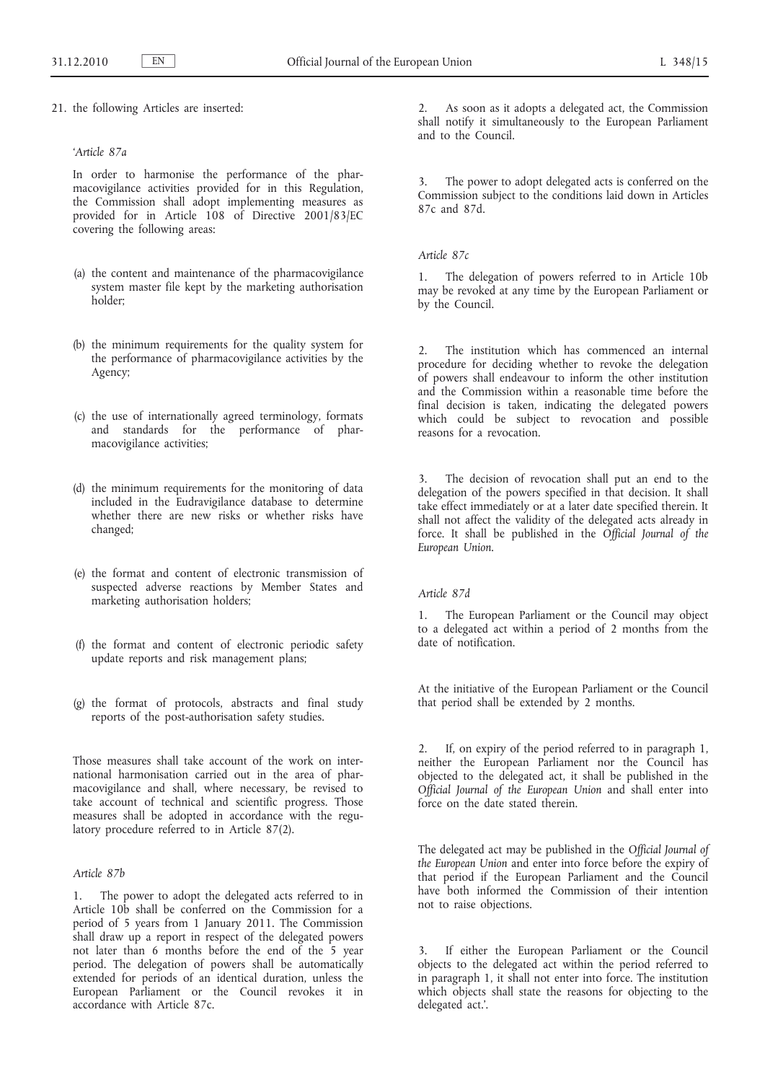21. the following Articles are inserted:

## *'Article 87a*

In order to harmonise the performance of the pharmacovigilance activities provided for in this Regulation, the Commission shall adopt implementing measures as provided for in Article 108 of Directive 2001/83/EC covering the following areas:

- (a) the content and maintenance of the pharmacovigilance system master file kept by the marketing authorisation holder;
- (b) the minimum requirements for the quality system for the performance of pharmacovigilance activities by the Agency;
- (c) the use of internationally agreed terminology, formats and standards for the performance of pharmacovigilance activities;
- (d) the minimum requirements for the monitoring of data included in the Eudravigilance database to determine whether there are new risks or whether risks have changed;
- (e) the format and content of electronic transmission of suspected adverse reactions by Member States and marketing authorisation holders;
- (f) the format and content of electronic periodic safety update reports and risk management plans;
- (g) the format of protocols, abstracts and final study reports of the post-authorisation safety studies.

Those measures shall take account of the work on international harmonisation carried out in the area of pharmacovigilance and shall, where necessary, be revised to take account of technical and scientific progress. Those measures shall be adopted in accordance with the regulatory procedure referred to in Article 87(2).

## *Article 87b*

1. The power to adopt the delegated acts referred to in Article 10b shall be conferred on the Commission for a period of 5 years from 1 January 2011. The Commission shall draw up a report in respect of the delegated powers not later than 6 months before the end of the 5 year period. The delegation of powers shall be automatically extended for periods of an identical duration, unless the European Parliament or the Council revokes it in accordance with Article 87c.

As soon as it adopts a delegated act, the Commission shall notify it simultaneously to the European Parliament and to the Council.

3. The power to adopt delegated acts is conferred on the Commission subject to the conditions laid down in Articles 87c and 87d.

## *Article 87c*

1. The delegation of powers referred to in Article 10b may be revoked at any time by the European Parliament or by the Council.

2. The institution which has commenced an internal procedure for deciding whether to revoke the delegation of powers shall endeavour to inform the other institution and the Commission within a reasonable time before the final decision is taken, indicating the delegated powers which could be subject to revocation and possible reasons for a revocation.

The decision of revocation shall put an end to the delegation of the powers specified in that decision. It shall take effect immediately or at a later date specified therein. It shall not affect the validity of the delegated acts already in force. It shall be published in the *Official Journal of the European Union*.

# *Article 87d*

1. The European Parliament or the Council may object to a delegated act within a period of 2 months from the date of notification.

At the initiative of the European Parliament or the Council that period shall be extended by 2 months.

2. If, on expiry of the period referred to in paragraph 1, neither the European Parliament nor the Council has objected to the delegated act, it shall be published in the *Official Journal of the European Union* and shall enter into force on the date stated therein.

The delegated act may be published in the *Official Journal of the European Union* and enter into force before the expiry of that period if the European Parliament and the Council have both informed the Commission of their intention not to raise objections.

If either the European Parliament or the Council objects to the delegated act within the period referred to in paragraph 1, it shall not enter into force. The institution which objects shall state the reasons for objecting to the delegated act.'.